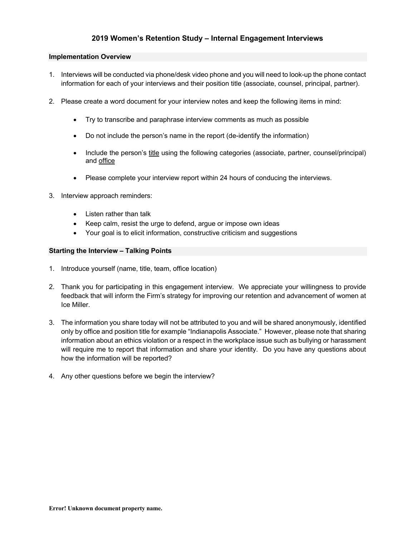# **2019 Women's Retention Study – Internal Engagement Interviews**

#### **Implementation Overview**

- 1. Interviews will be conducted via phone/desk video phone and you will need to look-up the phone contact information for each of your interviews and their position title (associate, counsel, principal, partner).
- 2. Please create a word document for your interview notes and keep the following items in mind:
	- Try to transcribe and paraphrase interview comments as much as possible
	- Do not include the person's name in the report (de-identify the information)
	- Include the person's title using the following categories (associate, partner, counsel/principal) and office
	- Please complete your interview report within 24 hours of conducing the interviews.
- 3. Interview approach reminders:
	- Listen rather than talk
	- Keep calm, resist the urge to defend, argue or impose own ideas
	- Your goal is to elicit information, constructive criticism and suggestions

## **Starting the Interview – Talking Points**

- 1. Introduce yourself (name, title, team, office location)
- 2. Thank you for participating in this engagement interview. We appreciate your willingness to provide feedback that will inform the Firm's strategy for improving our retention and advancement of women at Ice Miller.
- 3. The information you share today will not be attributed to you and will be shared anonymously, identified only by office and position title for example "Indianapolis Associate." However, please note that sharing information about an ethics violation or a respect in the workplace issue such as bullying or harassment will require me to report that information and share your identity. Do you have any questions about how the information will be reported?
- 4. Any other questions before we begin the interview?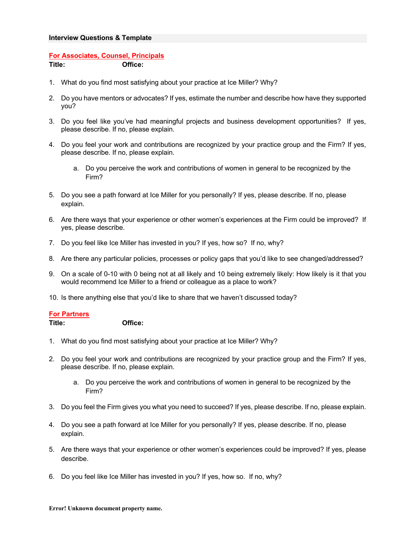## **Interview Questions & Template**

# **For Associates, Counsel, Principals**

**Title: Office:**

- 1. What do you find most satisfying about your practice at Ice Miller? Why?
- 2. Do you have mentors or advocates? If yes, estimate the number and describe how have they supported you?
- 3. Do you feel like you've had meaningful projects and business development opportunities? If yes, please describe. If no, please explain.
- 4. Do you feel your work and contributions are recognized by your practice group and the Firm? If yes, please describe. If no, please explain.
	- a. Do you perceive the work and contributions of women in general to be recognized by the Firm?
- 5. Do you see a path forward at Ice Miller for you personally? If yes, please describe. If no, please explain.
- 6. Are there ways that your experience or other women's experiences at the Firm could be improved? If yes, please describe.
- 7. Do you feel like Ice Miller has invested in you? If yes, how so? If no, why?
- 8. Are there any particular policies, processes or policy gaps that you'd like to see changed/addressed?
- 9. On a scale of 0-10 with 0 being not at all likely and 10 being extremely likely: How likely is it that you would recommend Ice Miller to a friend or colleague as a place to work?
- 10. Is there anything else that you'd like to share that we haven't discussed today?

## **For Partners**

**Title: Office:**

- 1. What do you find most satisfying about your practice at Ice Miller? Why?
- 2. Do you feel your work and contributions are recognized by your practice group and the Firm? If yes, please describe. If no, please explain.
	- a. Do you perceive the work and contributions of women in general to be recognized by the Firm?
- 3. Do you feel the Firm gives you what you need to succeed? If yes, please describe. If no, please explain.
- 4. Do you see a path forward at Ice Miller for you personally? If yes, please describe. If no, please explain.
- 5. Are there ways that your experience or other women's experiences could be improved? If yes, please describe.
- 6. Do you feel like Ice Miller has invested in you? If yes, how so. If no, why?